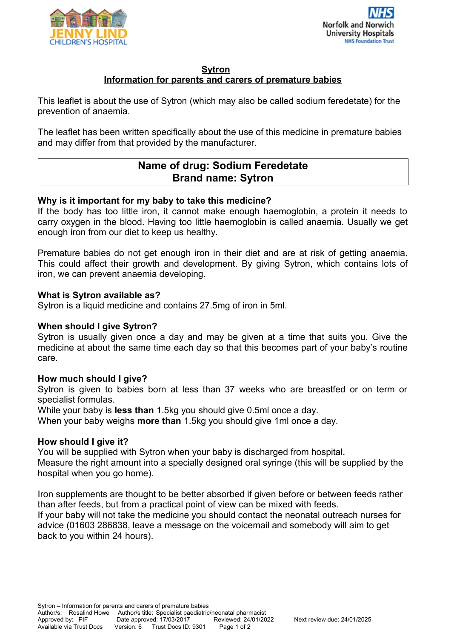



#### **Sytron**

# **Information for parents and carers of premature babies**

This leaflet is about the use of Sytron (which may also be called sodium feredetate) for the prevention of anaemia.

The leaflet has been written specifically about the use of this medicine in premature babies and may differ from that provided by the manufacturer.

# **Name of drug: Sodium Feredetate Brand name: Sytron**

#### **Why is it important for my baby to take this medicine?**

If the body has too little iron, it cannot make enough haemoglobin, a protein it needs to carry oxygen in the blood. Having too little haemoglobin is called anaemia. Usually we get enough iron from our diet to keep us healthy.

Premature babies do not get enough iron in their diet and are at risk of getting anaemia. This could affect their growth and development. By giving Sytron, which contains lots of iron, we can prevent anaemia developing.

#### **What is Sytron available as?**

Sytron is a liquid medicine and contains 27.5mg of iron in 5ml.

# **When should I give Sytron?**

Sytron is usually given once a day and may be given at a time that suits you. Give the medicine at about the same time each day so that this becomes part of your baby's routine care.

#### **How much should I give?**

Sytron is given to babies born at less than 37 weeks who are breastfed or on term or specialist formulas.

While your baby is **less than** 1.5kg you should give 0.5ml once a day.

When your baby weighs **more than** 1.5kg you should give 1ml once a day.

#### **How should I give it?**

You will be supplied with Sytron when your baby is discharged from hospital.

Measure the right amount into a specially designed oral syringe (this will be supplied by the hospital when you go home).

Iron supplements are thought to be better absorbed if given before or between feeds rather than after feeds, but from a practical point of view can be mixed with feeds. If your baby will not take the medicine you should contact the neonatal outreach nurses for advice (01603 286838, leave a message on the voicemail and somebody will aim to get back to you within 24 hours).